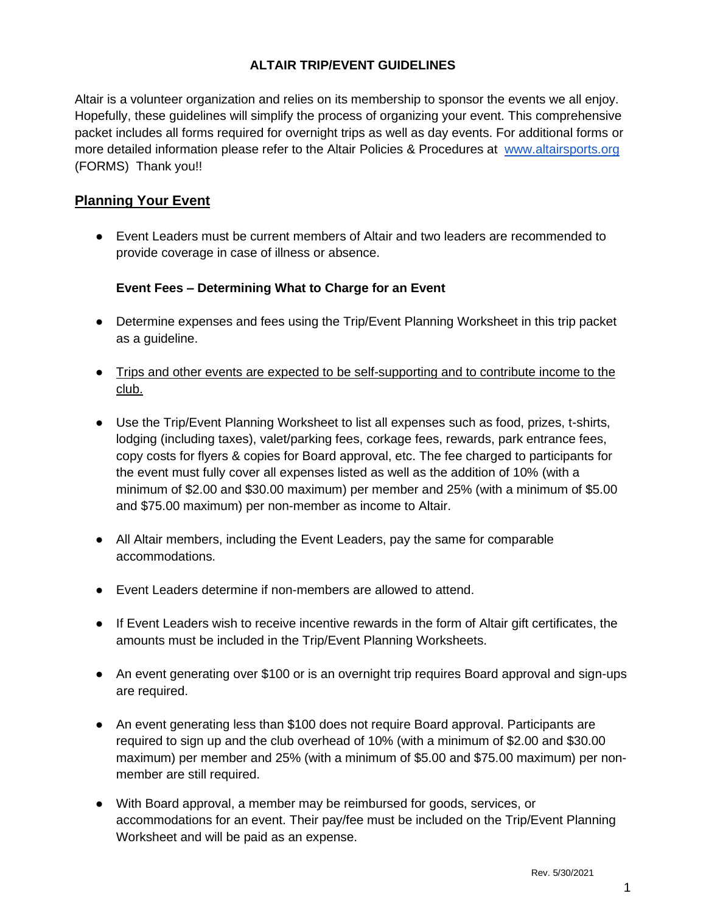### **ALTAIR TRIP/EVENT GUIDELINES**

Altair is a volunteer organization and relies on its membership to sponsor the events we all enjoy. Hopefully, these guidelines will simplify the process of organizing your event. This comprehensive packet includes all forms required for overnight trips as well as day events. For additional forms or more detailed information please refer to the Altair Policies & Procedures at [www.altairsports.org](http://www.altairsports.org/)  (FORMS) Thank you!!

# **Planning Your Event**

● Event Leaders must be current members of Altair and two leaders are recommended to provide coverage in case of illness or absence.

### **Event Fees – Determining What to Charge for an Event**

- Determine expenses and fees using the Trip/Event Planning Worksheet in this trip packet as a guideline.
- Trips and other events are expected to be self-supporting and to contribute income to the club.
- Use the Trip/Event Planning Worksheet to list all expenses such as food, prizes, t-shirts, lodging (including taxes), valet/parking fees, corkage fees, rewards, park entrance fees, copy costs for flyers & copies for Board approval, etc. The fee charged to participants for the event must fully cover all expenses listed as well as the addition of 10% (with a minimum of \$2.00 and \$30.00 maximum) per member and 25% (with a minimum of \$5.00 and \$75.00 maximum) per non-member as income to Altair.
- All Altair members, including the Event Leaders, pay the same for comparable accommodations.
- Event Leaders determine if non-members are allowed to attend.
- If Event Leaders wish to receive incentive rewards in the form of Altair gift certificates, the amounts must be included in the Trip/Event Planning Worksheets.
- An event generating over \$100 or is an overnight trip requires Board approval and sign-ups are required.
- An event generating less than \$100 does not require Board approval. Participants are required to sign up and the club overhead of 10% (with a minimum of \$2.00 and \$30.00 maximum) per member and 25% (with a minimum of \$5.00 and \$75.00 maximum) per nonmember are still required.
- With Board approval, a member may be reimbursed for goods, services, or accommodations for an event. Their pay/fee must be included on the Trip/Event Planning Worksheet and will be paid as an expense.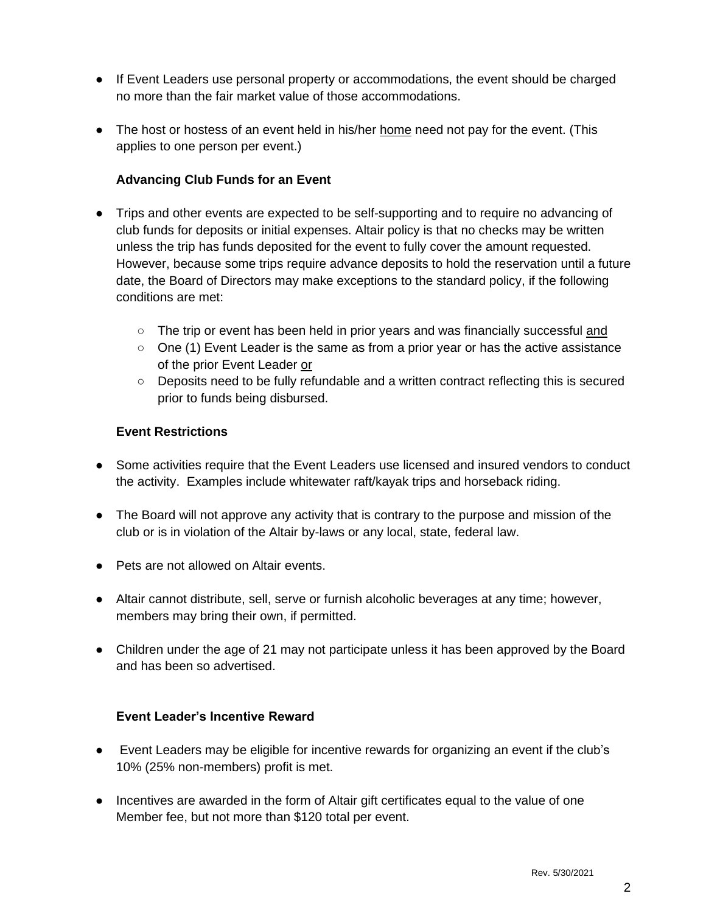- If Event Leaders use personal property or accommodations, the event should be charged no more than the fair market value of those accommodations.
- The host or hostess of an event held in his/her home need not pay for the event. (This applies to one person per event.)

### **Advancing Club Funds for an Event**

- Trips and other events are expected to be self-supporting and to require no advancing of club funds for deposits or initial expenses. Altair policy is that no checks may be written unless the trip has funds deposited for the event to fully cover the amount requested. However, because some trips require advance deposits to hold the reservation until a future date, the Board of Directors may make exceptions to the standard policy, if the following conditions are met:
	- The trip or event has been held in prior years and was financially successful and
	- $\circ$  One (1) Event Leader is the same as from a prior year or has the active assistance of the prior Event Leader or
	- Deposits need to be fully refundable and a written contract reflecting this is secured prior to funds being disbursed.

#### **Event Restrictions**

- Some activities require that the Event Leaders use licensed and insured vendors to conduct the activity. Examples include whitewater raft/kayak trips and horseback riding.
- The Board will not approve any activity that is contrary to the purpose and mission of the club or is in violation of the Altair by-laws or any local, state, federal law.
- Pets are not allowed on Altair events.
- Altair cannot distribute, sell, serve or furnish alcoholic beverages at any time; however, members may bring their own, if permitted.
- Children under the age of 21 may not participate unless it has been approved by the Board and has been so advertised.

#### **Event Leader's Incentive Reward**

- Event Leaders may be eligible for incentive rewards for organizing an event if the club's 10% (25% non-members) profit is met.
- Incentives are awarded in the form of Altair gift certificates equal to the value of one Member fee, but not more than \$120 total per event.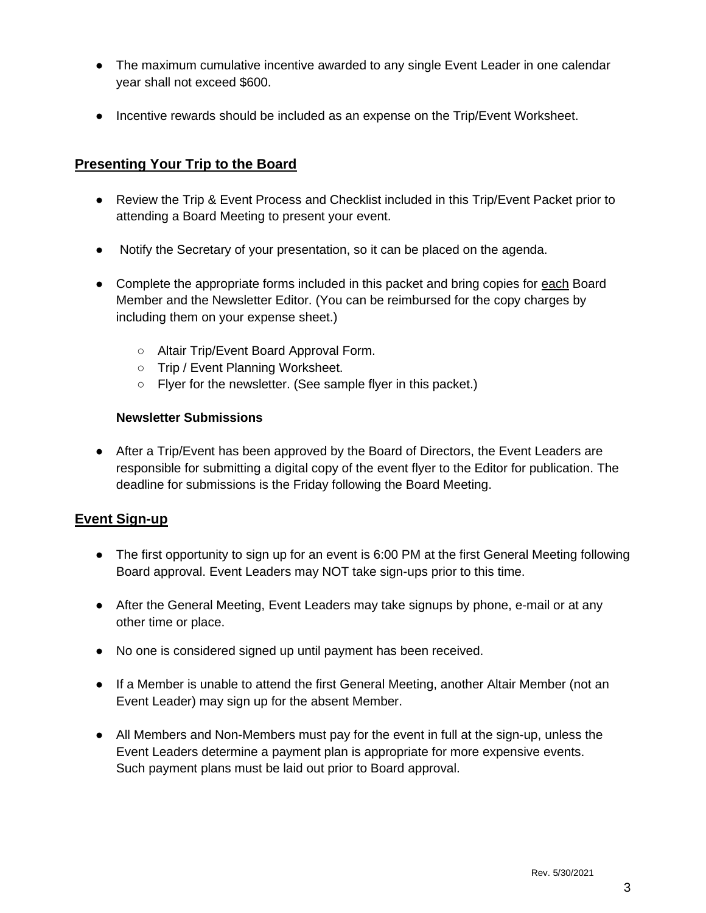- The maximum cumulative incentive awarded to any single Event Leader in one calendar year shall not exceed \$600.
- Incentive rewards should be included as an expense on the Trip/Event Worksheet.

# **Presenting Your Trip to the Board**

- Review the Trip & Event Process and Checklist included in this Trip/Event Packet prior to attending a Board Meeting to present your event.
- Notify the Secretary of your presentation, so it can be placed on the agenda.
- Complete the appropriate forms included in this packet and bring copies for each Board Member and the Newsletter Editor. (You can be reimbursed for the copy charges by including them on your expense sheet.)
	- Altair Trip/Event Board Approval Form.
	- Trip / Event Planning Worksheet.
	- Flyer for the newsletter. (See sample flyer in this packet.)

#### **Newsletter Submissions**

• After a Trip/Event has been approved by the Board of Directors, the Event Leaders are responsible for submitting a digital copy of the event flyer to the Editor for publication. The deadline for submissions is the Friday following the Board Meeting.

# **Event Sign-up**

- The first opportunity to sign up for an event is 6:00 PM at the first General Meeting following Board approval. Event Leaders may NOT take sign-ups prior to this time.
- After the General Meeting, Event Leaders may take signups by phone, e-mail or at any other time or place.
- No one is considered signed up until payment has been received.
- If a Member is unable to attend the first General Meeting, another Altair Member (not an Event Leader) may sign up for the absent Member.
- All Members and Non-Members must pay for the event in full at the sign-up, unless the Event Leaders determine a payment plan is appropriate for more expensive events. Such payment plans must be laid out prior to Board approval.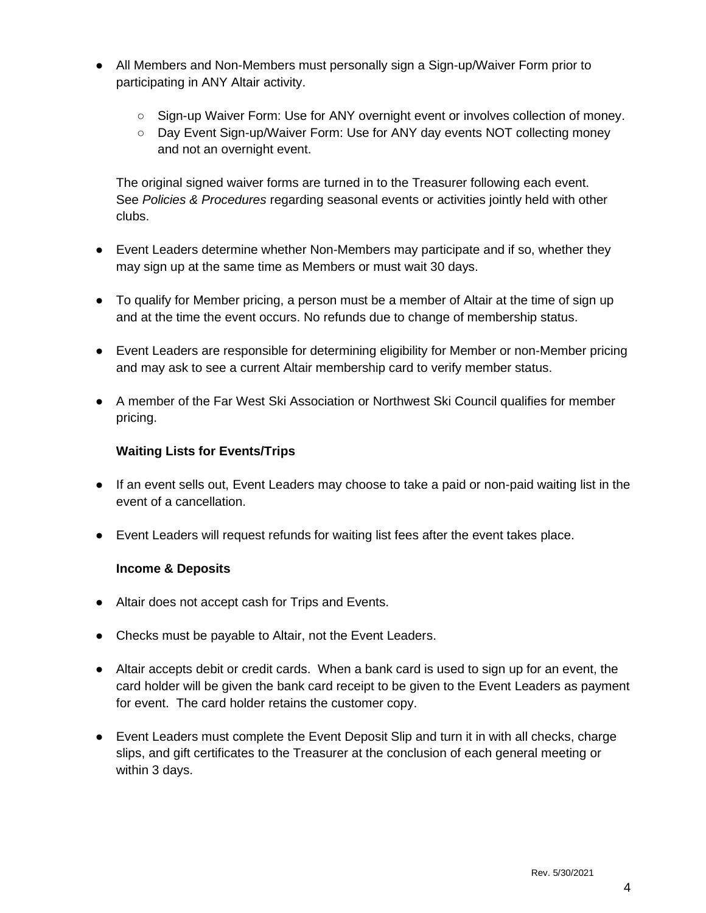- All Members and Non-Members must personally sign a Sign-up/Waiver Form prior to participating in ANY Altair activity.
	- Sign-up Waiver Form: Use for ANY overnight event or involves collection of money.
	- Day Event Sign-up/Waiver Form: Use for ANY day events NOT collecting money and not an overnight event.

The original signed waiver forms are turned in to the Treasurer following each event. See *Policies & Procedures* regarding seasonal events or activities jointly held with other clubs.

- Event Leaders determine whether Non-Members may participate and if so, whether they may sign up at the same time as Members or must wait 30 days.
- To qualify for Member pricing, a person must be a member of Altair at the time of sign up and at the time the event occurs. No refunds due to change of membership status.
- Event Leaders are responsible for determining eligibility for Member or non-Member pricing and may ask to see a current Altair membership card to verify member status.
- A member of the Far West Ski Association or Northwest Ski Council qualifies for member pricing.

#### **Waiting Lists for Events/Trips**

- If an event sells out, Event Leaders may choose to take a paid or non-paid waiting list in the event of a cancellation.
- Event Leaders will request refunds for waiting list fees after the event takes place.

#### **Income & Deposits**

- Altair does not accept cash for Trips and Events.
- Checks must be payable to Altair, not the Event Leaders.
- Altair accepts debit or credit cards. When a bank card is used to sign up for an event, the card holder will be given the bank card receipt to be given to the Event Leaders as payment for event. The card holder retains the customer copy.
- Event Leaders must complete the Event Deposit Slip and turn it in with all checks, charge slips, and gift certificates to the Treasurer at the conclusion of each general meeting or within 3 days.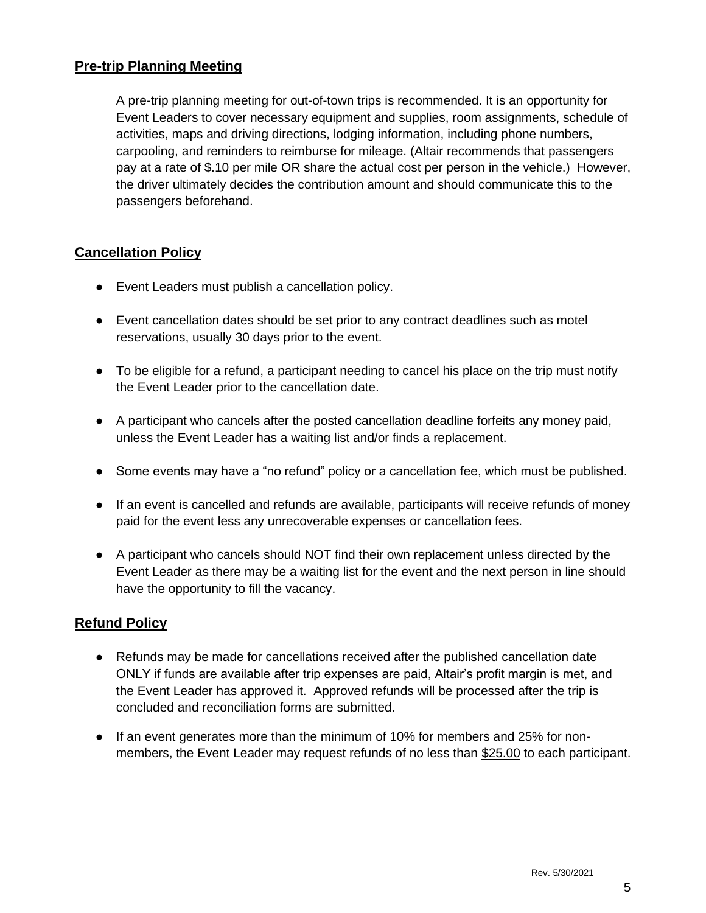# **Pre-trip Planning Meeting**

A pre-trip planning meeting for out-of-town trips is recommended. It is an opportunity for Event Leaders to cover necessary equipment and supplies, room assignments, schedule of activities, maps and driving directions, lodging information, including phone numbers, carpooling, and reminders to reimburse for mileage. (Altair recommends that passengers pay at a rate of \$.10 per mile OR share the actual cost per person in the vehicle.) However, the driver ultimately decides the contribution amount and should communicate this to the passengers beforehand.

### **Cancellation Policy**

- Event Leaders must publish a cancellation policy.
- Event cancellation dates should be set prior to any contract deadlines such as motel reservations, usually 30 days prior to the event.
- To be eligible for a refund, a participant needing to cancel his place on the trip must notify the Event Leader prior to the cancellation date.
- A participant who cancels after the posted cancellation deadline forfeits any money paid, unless the Event Leader has a waiting list and/or finds a replacement.
- Some events may have a "no refund" policy or a cancellation fee, which must be published.
- If an event is cancelled and refunds are available, participants will receive refunds of money paid for the event less any unrecoverable expenses or cancellation fees.
- A participant who cancels should NOT find their own replacement unless directed by the Event Leader as there may be a waiting list for the event and the next person in line should have the opportunity to fill the vacancy.

# **Refund Policy**

- Refunds may be made for cancellations received after the published cancellation date ONLY if funds are available after trip expenses are paid, Altair's profit margin is met, and the Event Leader has approved it. Approved refunds will be processed after the trip is concluded and reconciliation forms are submitted.
- If an event generates more than the minimum of 10% for members and 25% for nonmembers, the Event Leader may request refunds of no less than \$25.00 to each participant.